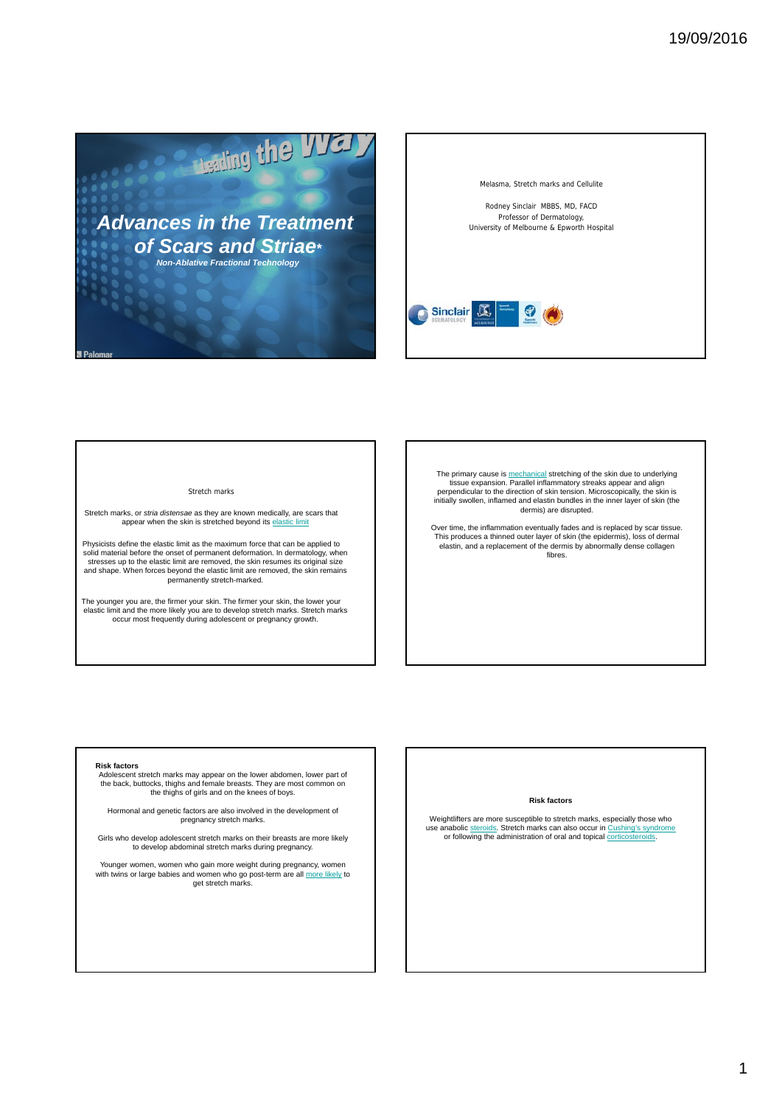

Melasma, Stretch marks and Cellulite

Rodney Sinclair MBBS, MD, FACD Professor of Dermatology, University of Melbourne & Epworth Hospital



#### Stretch marks

Stretch marks, or *stria distensae* as they are known medically, are scars that appear when the skin is stretched beyond its elast

Physicists define the elastic limit as the maximum force that can be applied to solid material before the onset of permanent deformation. In dermatology, when stresses up to the elastic limit are removed, the skin resumes its original size and shape. When forces beyond the elastic limit are removed, the skin remains permanently stretch-marked.

The younger you are, the firmer your skin. The firmer your skin, the lower your elastic limit and the more likely you are to develop stretch marks. Stretch marks occur most frequently during adolescent or pregnancy growth.

The primary cause is <u>mechanical</u> stretching of the skin due to underlying<br>tissue expansion. Parallel inflammatory streaks appear and align<br>perpendicular to the direction of skin tension. Microscopically, the skin is initially swollen, inflamed and elastin bundles in the inner layer of skin (the dermis) are disrupted.

Over time, the inflammation eventually fades and is replaced by scar tissue. This produces a thinned outer layer of skin (the epidermis), loss of dermal elastin, and a replacement of the dermis by abnormally dense collagen fibres.

### **Risk factors**

Adolescent stretch marks may appear on the lower abdomen, lower part of the back, buttocks, thighs and female breasts. They are most common on the thighs of girls and on the knees of boys.

Hormonal and genetic factors are also involved in the development of pregnancy stretch marks.

Girls who develop adolescent stretch marks on their breasts are more likely to develop abdominal stretch marks during pregnancy.

Younger women, women who gain more weight during pregnancy, women<br>with twins or large babies and women who go post-term are all more likely to get stretch marks.

### **Risk factors**

Weightlifters are more susceptible to stretch marks, especially those who use anabolic steroids. Stretch marks can also occur in Cushing's syndrome or following the administration of oral and topical corticosteroids.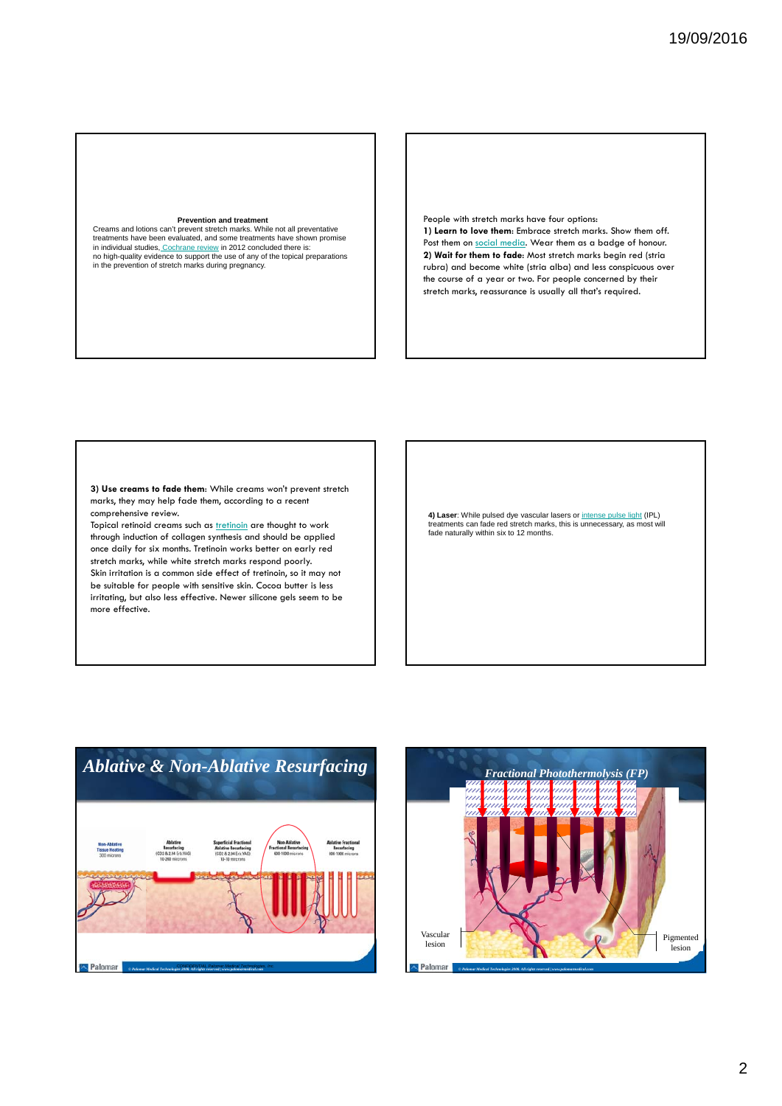### **Prevention and treatment**

Creams and lotions can't prevent stretch marks. While not all preventative treatments have been evaluated, and some treatments have shown promise<br>in individual studies, Cochrane review in 2012 concluded there is:<br>no high-quality evidence to support the use of any of the topical preparations<br>in th People with stretch marks have four options: **1) Learn to love them**: Embrace stretch marks. Show them off. Post them on social media. Wear them as a badge of honour. **2) Wait for them to fade**: Most stretch marks begin red (stria rubra) and become white (stria alba) and less conspicuous over the course of a year or two. For people concerned by their stretch marks, reassurance is usually all that's required.

**3) Use creams to fade them**: While creams won't prevent stretch marks, they may help fade them, according to a recent comprehensive review.

Topical retinoid creams such as **tretinoin** are thought to work through induction of collagen synthesis and should be applied once daily for six months. Tretinoin works better on early red stretch marks, while white stretch marks respond poorly. Skin irritation is a common side effect of tretinoin, so it may not be suitable for people with sensitive skin. Cocoa butter is less irritating, but also less effective. Newer silicone gels seem to be more effective.

**4) Laser**: While pulsed dye vascular lasers or <u>intense pulse light</u> (IPL)<br>treatments can fade red stretch marks, this is unnecessary, as most will fade naturally within six to 12 months.



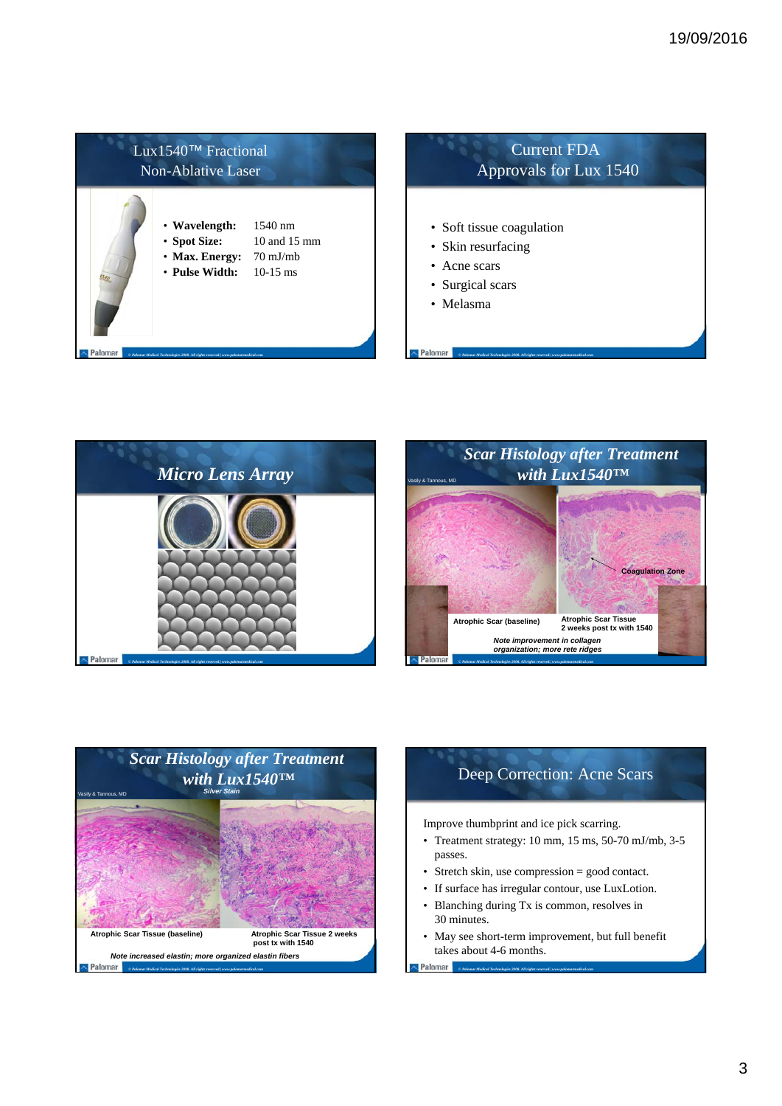







# Deep Correction: Acne Scars

Improve thumbprint and ice pick scarring.

- Treatment strategy: 10 mm, 15 ms, 50-70 mJ/mb, 3-5 passes.
- Stretch skin, use compression = good contact.
- If surface has irregular contour, use LuxLotion.
- Blanching during Tx is common, resolves in 30 minutes.

*© Palomar Medical Technologies 2008. All rights reserved.| www.palomarmedical.com*

Palomar

• May see short-term improvement, but full benefit takes about 4-6 months.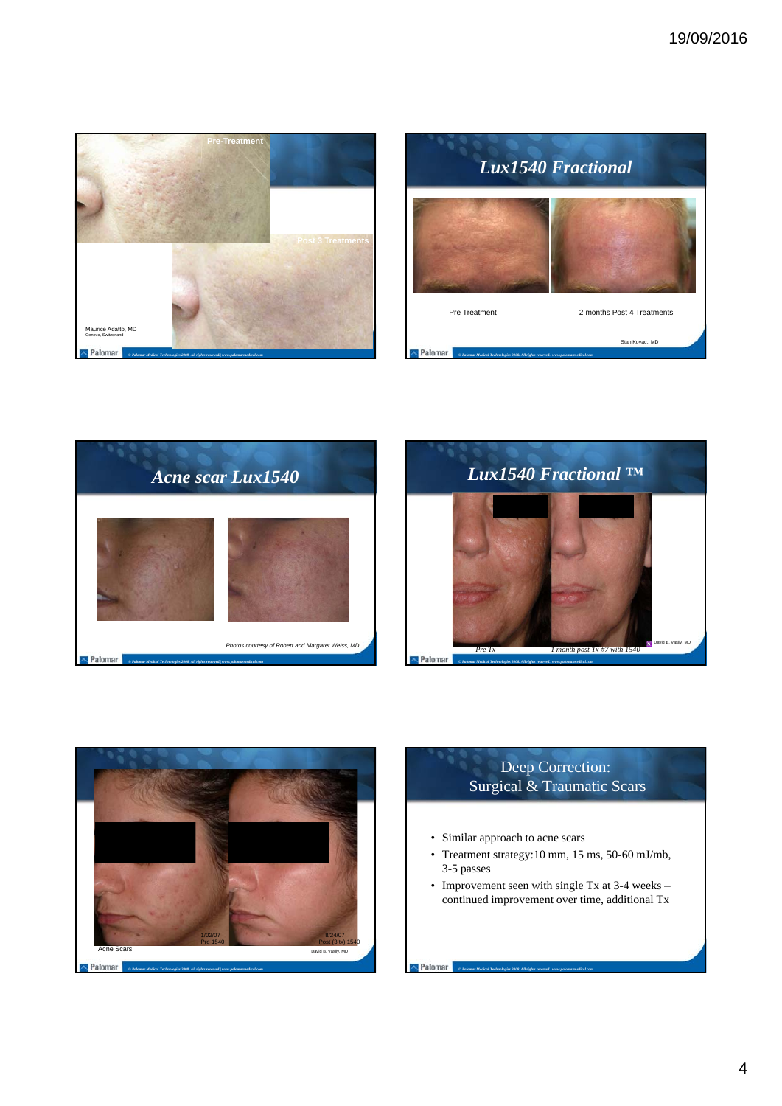









# Deep Correction: Surgical & Traumatic Scars

- Similar approach to acne scars
- Treatment strategy:10 mm, 15 ms, 50-60 mJ/mb, 3-5 passes
- Improvement seen with single Tx at 3-4 weeks continued improvement over time, additional Tx

*© Palomar Medical Technologies 2008. All rights reserved.| www.palomarmedical.com*

Palomar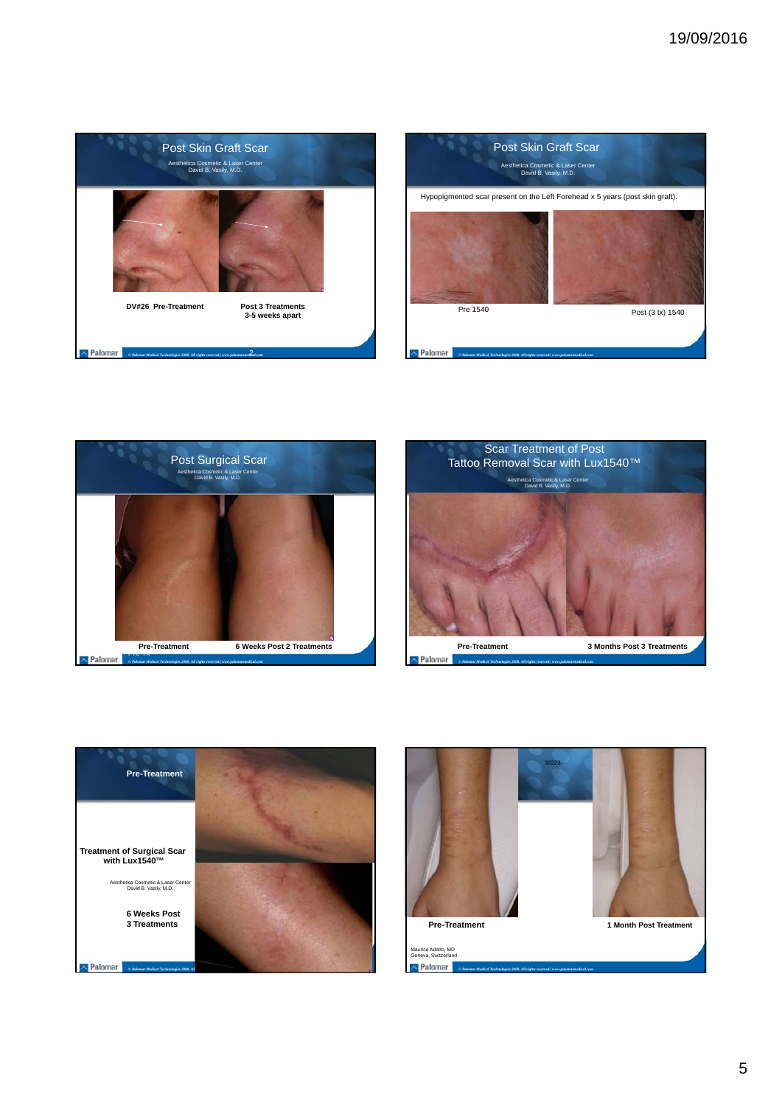









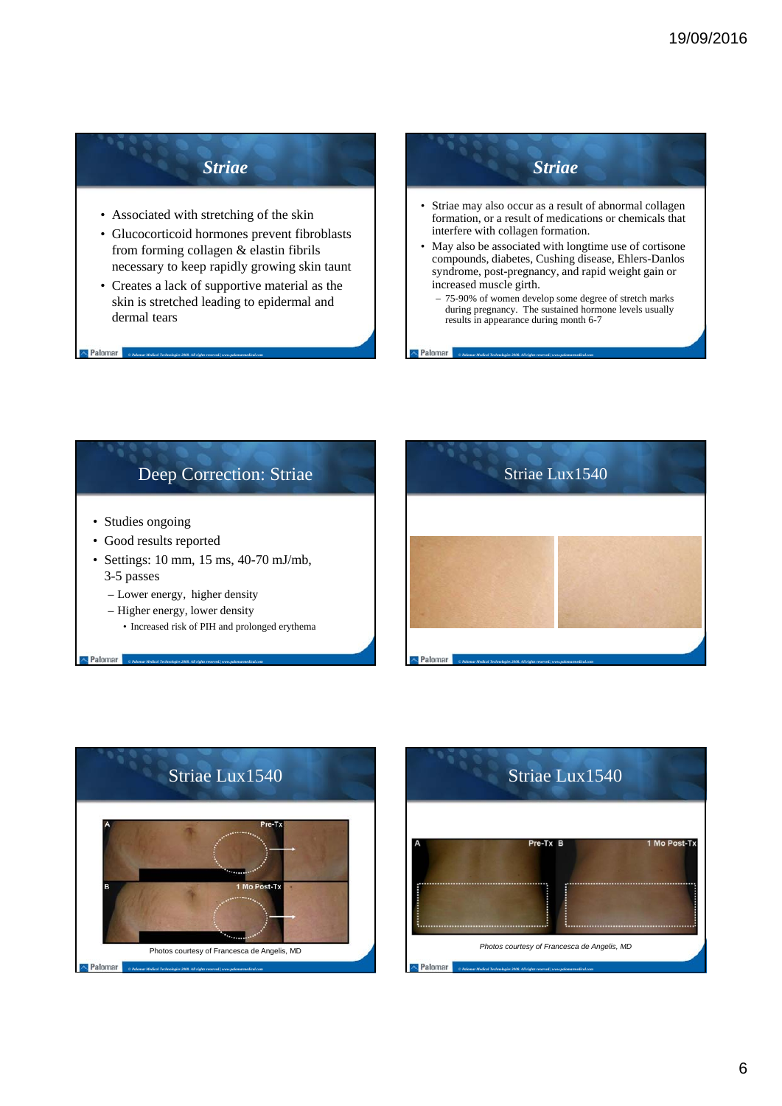# *Striae*

- Associated with stretching of the skin
- Glucocorticoid hormones prevent fibroblasts from forming collagen & elastin fibrils necessary to keep rapidly growing skin taunt
- Creates a lack of supportive material as the skin is stretched leading to epidermal and dermal tears

*© Palomar Medical Technologies 2008. All rights reserved.| www.palomarmedical.com*

Palomar

### *Striae* Striae may also occur as a result of abnormal collagen formation, or a result of medications or chemicals that interfere with collagen formation. • May also be associated with longtime use of cortisone compounds, diabetes, Cushing disease, Ehlers-Danlos syndrome, post-pregnancy, and rapid weight gain or increased muscle girth. – 75-90% of women develop some degree of stretch marks during pregnancy. The sustained hormone levels usually results in appearance during month 6-7

*© Palomar Medical Technologies 2008. All rights reserved.| www.palomarmedical.com*

## Deep Correction: Striae • Studies ongoing • Good results reported • Settings: 10 mm, 15 ms, 40-70 mJ/mb, 3-5 passes – Lower energy, higher density – Higher energy, lower density • Increased risk of PIH and prolonged erythema Palomar Palo *© Palomar Medical Technologies 2008. All rights reserved.| www.palomarmedical.com*